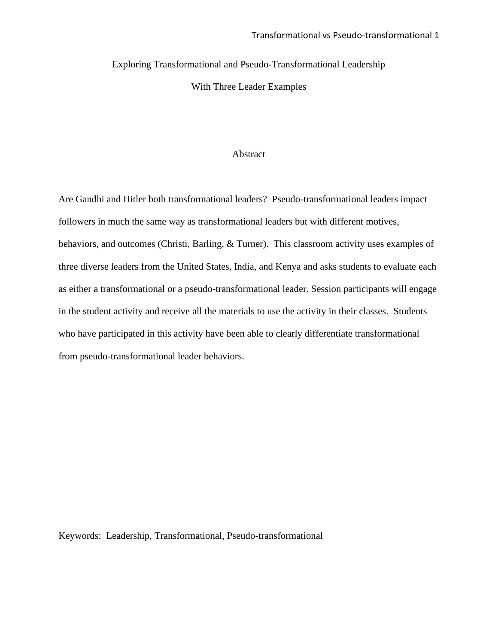Exploring Transformational and Pseudo-Transformational Leadership

With Three Leader Examples

#### Abstract

Are Gandhi and Hitler both transformational leaders? Pseudo-transformational leaders impact followers in much the same way as transformational leaders but with different motives, behaviors, and outcomes (Christi, Barling, & Turner). This classroom activity uses examples of three diverse leaders from the United States, India, and Kenya and asks students to evaluate each as either a transformational or a pseudo-transformational leader. Session participants will engage in the student activity and receive all the materials to use the activity in their classes. Students who have participated in this activity have been able to clearly differentiate transformational from pseudo-transformational leader behaviors.

Keywords: Leadership, Transformational, Pseudo-transformational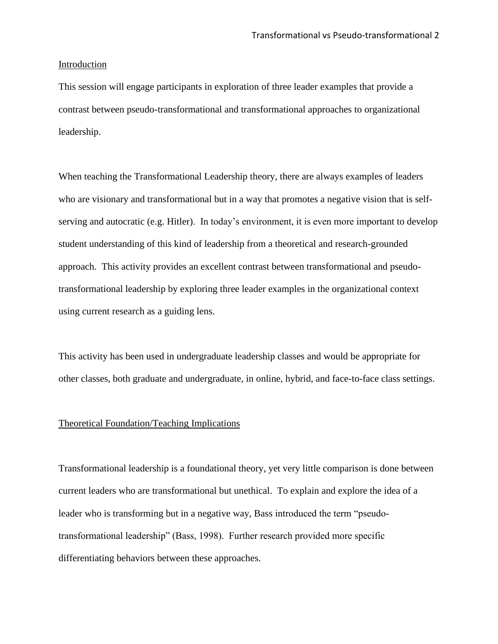#### Introduction

This session will engage participants in exploration of three leader examples that provide a contrast between pseudo-transformational and transformational approaches to organizational leadership.

When teaching the Transformational Leadership theory, there are always examples of leaders who are visionary and transformational but in a way that promotes a negative vision that is selfserving and autocratic (e.g. Hitler). In today's environment, it is even more important to develop student understanding of this kind of leadership from a theoretical and research-grounded approach. This activity provides an excellent contrast between transformational and pseudotransformational leadership by exploring three leader examples in the organizational context using current research as a guiding lens.

This activity has been used in undergraduate leadership classes and would be appropriate for other classes, both graduate and undergraduate, in online, hybrid, and face-to-face class settings.

#### Theoretical Foundation/Teaching Implications

Transformational leadership is a foundational theory, yet very little comparison is done between current leaders who are transformational but unethical. To explain and explore the idea of a leader who is transforming but in a negative way, Bass introduced the term "pseudotransformational leadership" (Bass, 1998). Further research provided more specific differentiating behaviors between these approaches.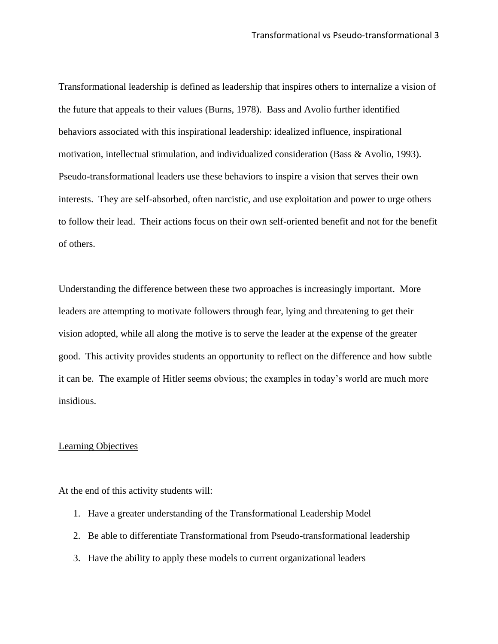Transformational leadership is defined as leadership that inspires others to internalize a vision of the future that appeals to their values (Burns, 1978). Bass and Avolio further identified behaviors associated with this inspirational leadership: idealized influence, inspirational motivation, intellectual stimulation, and individualized consideration (Bass & Avolio, 1993). Pseudo-transformational leaders use these behaviors to inspire a vision that serves their own interests. They are self-absorbed, often narcistic, and use exploitation and power to urge others to follow their lead. Their actions focus on their own self-oriented benefit and not for the benefit of others.

Understanding the difference between these two approaches is increasingly important. More leaders are attempting to motivate followers through fear, lying and threatening to get their vision adopted, while all along the motive is to serve the leader at the expense of the greater good. This activity provides students an opportunity to reflect on the difference and how subtle it can be. The example of Hitler seems obvious; the examples in today's world are much more insidious.

#### Learning Objectives

At the end of this activity students will:

- 1. Have a greater understanding of the Transformational Leadership Model
- 2. Be able to differentiate Transformational from Pseudo-transformational leadership
- 3. Have the ability to apply these models to current organizational leaders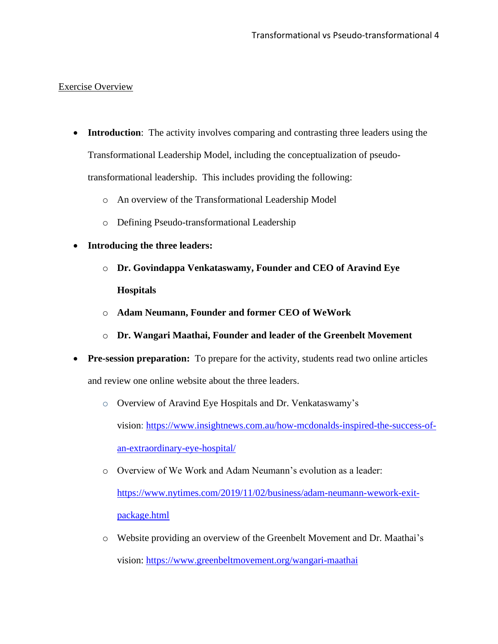## Exercise Overview

- **Introduction**: The activity involves comparing and contrasting three leaders using the Transformational Leadership Model, including the conceptualization of pseudotransformational leadership. This includes providing the following:
	- o An overview of the Transformational Leadership Model
	- o Defining Pseudo-transformational Leadership
- **Introducing the three leaders:**
	- o **Dr. Govindappa Venkataswamy, Founder and CEO of Aravind Eye Hospitals**
	- o **Adam Neumann, Founder and former CEO of WeWork**
	- o **Dr. Wangari Maathai, Founder and leader of the Greenbelt Movement**
- **Pre-session preparation:** To prepare for the activity, students read two online articles and review one online website about the three leaders.
	- o Overview of Aravind Eye Hospitals and Dr. Venkataswamy's

vision: [https://www.insightnews.com.au/how-mcdonalds-inspired-the-success-of](about:blank)[an-extraordinary-eye-hospital/](about:blank)

o Overview of We Work and Adam Neumann's evolution as a leader:

[https://www.nytimes.com/2019/11/02/business/adam-neumann-wework-exit](about:blank)[package.html](about:blank)

o Website providing an overview of the Greenbelt Movement and Dr. Maathai's vision: [https://www.greenbeltmovement.org/wangari-maathai](about:blank)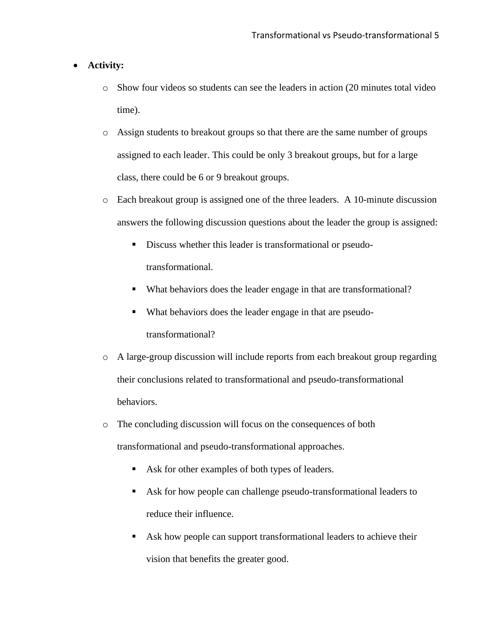#### • **Activity:**

- o Show four videos so students can see the leaders in action (20 minutes total video time).
- o Assign students to breakout groups so that there are the same number of groups assigned to each leader. This could be only 3 breakout groups, but for a large class, there could be 6 or 9 breakout groups.
- o Each breakout group is assigned one of the three leaders. A 10-minute discussion answers the following discussion questions about the leader the group is assigned:
	- Discuss whether this leader is transformational or pseudotransformational.
	- What behaviors does the leader engage in that are transformational?
	- What behaviors does the leader engage in that are pseudotransformational?
- o A large-group discussion will include reports from each breakout group regarding their conclusions related to transformational and pseudo-transformational behaviors.
- o The concluding discussion will focus on the consequences of both transformational and pseudo-transformational approaches.
	- Ask for other examples of both types of leaders.
	- Ask for how people can challenge pseudo-transformational leaders to reduce their influence.
	- Ask how people can support transformational leaders to achieve their vision that benefits the greater good.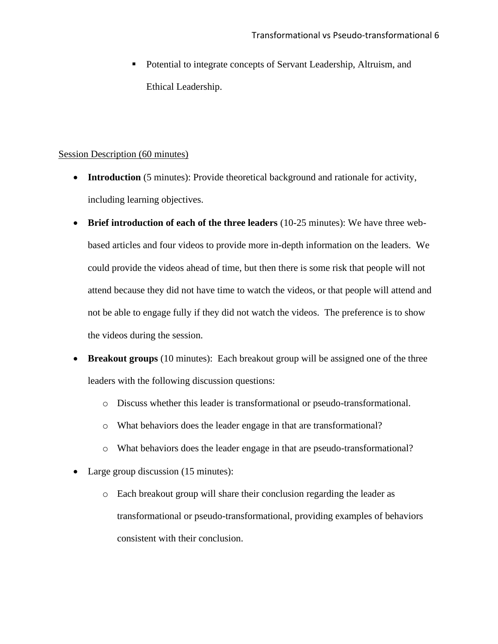■ Potential to integrate concepts of Servant Leadership, Altruism, and Ethical Leadership.

### Session Description (60 minutes)

- **Introduction** (5 minutes): Provide theoretical background and rationale for activity, including learning objectives.
- **Brief introduction of each of the three leaders** (10-25 minutes): We have three webbased articles and four videos to provide more in-depth information on the leaders. We could provide the videos ahead of time, but then there is some risk that people will not attend because they did not have time to watch the videos, or that people will attend and not be able to engage fully if they did not watch the videos. The preference is to show the videos during the session.
- **Breakout groups** (10 minutes): Each breakout group will be assigned one of the three leaders with the following discussion questions:
	- o Discuss whether this leader is transformational or pseudo-transformational.
	- o What behaviors does the leader engage in that are transformational?
	- o What behaviors does the leader engage in that are pseudo-transformational?
- Large group discussion (15 minutes):
	- o Each breakout group will share their conclusion regarding the leader as transformational or pseudo-transformational, providing examples of behaviors consistent with their conclusion.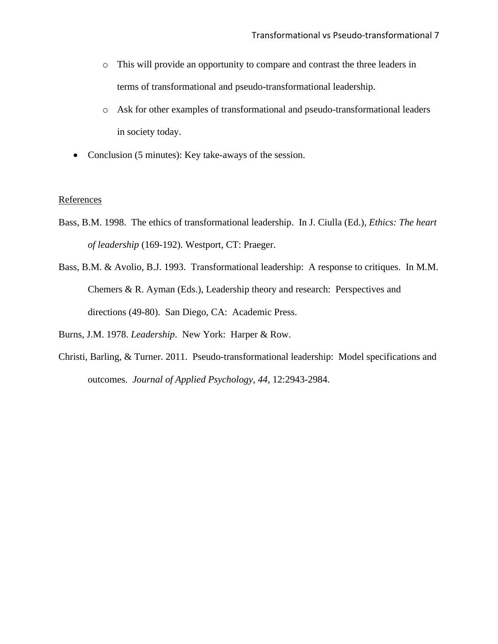- o This will provide an opportunity to compare and contrast the three leaders in terms of transformational and pseudo-transformational leadership.
- o Ask for other examples of transformational and pseudo-transformational leaders in society today.
- Conclusion (5 minutes): Key take-aways of the session.

#### **References**

- Bass, B.M. 1998. The ethics of transformational leadership. In J. Ciulla (Ed.), *Ethics: The heart of leadership* (169-192). Westport, CT: Praeger.
- Bass, B.M. & Avolio, B.J. 1993. Transformational leadership: A response to critiques. In M.M. Chemers & R. Ayman (Eds.), Leadership theory and research: Perspectives and directions (49-80). San Diego, CA: Academic Press.

Burns, J.M. 1978. *Leadership*. New York: Harper & Row.

Christi, Barling, & Turner. 2011. Pseudo-transformational leadership: Model specifications and outcomes. *Journal of Applied Psychology*, *44*, 12:2943-2984.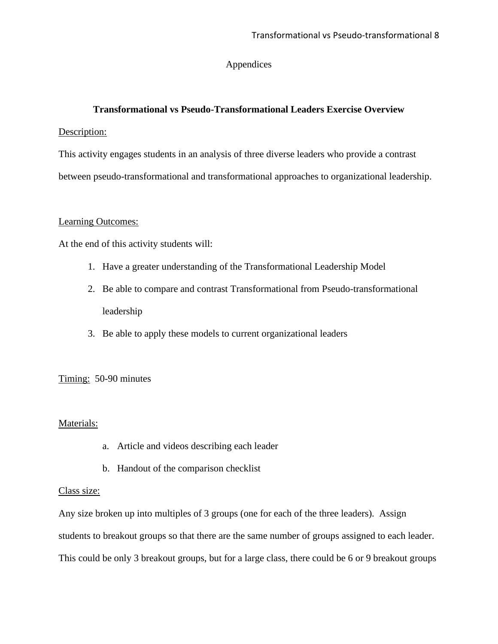## Appendices

## **Transformational vs Pseudo-Transformational Leaders Exercise Overview**

### Description:

This activity engages students in an analysis of three diverse leaders who provide a contrast between pseudo-transformational and transformational approaches to organizational leadership.

### Learning Outcomes:

At the end of this activity students will:

- 1. Have a greater understanding of the Transformational Leadership Model
- 2. Be able to compare and contrast Transformational from Pseudo-transformational leadership
- 3. Be able to apply these models to current organizational leaders

## Timing: 50-90 minutes

## Materials:

- a. Article and videos describing each leader
- b. Handout of the comparison checklist

### Class size:

Any size broken up into multiples of 3 groups (one for each of the three leaders). Assign students to breakout groups so that there are the same number of groups assigned to each leader. This could be only 3 breakout groups, but for a large class, there could be 6 or 9 breakout groups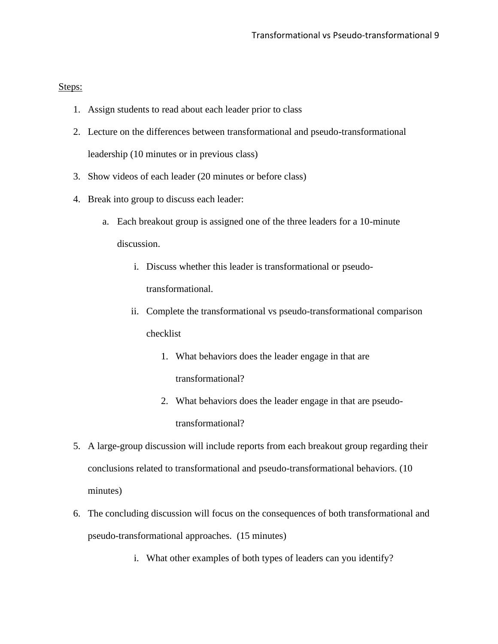Steps:

- 1. Assign students to read about each leader prior to class
- 2. Lecture on the differences between transformational and pseudo-transformational leadership (10 minutes or in previous class)
- 3. Show videos of each leader (20 minutes or before class)
- 4. Break into group to discuss each leader:
	- a. Each breakout group is assigned one of the three leaders for a 10-minute discussion.
		- i. Discuss whether this leader is transformational or pseudotransformational.
		- ii. Complete the transformational vs pseudo-transformational comparison checklist
			- 1. What behaviors does the leader engage in that are transformational?
			- 2. What behaviors does the leader engage in that are pseudotransformational?
- 5. A large-group discussion will include reports from each breakout group regarding their conclusions related to transformational and pseudo-transformational behaviors. (10 minutes)
- 6. The concluding discussion will focus on the consequences of both transformational and pseudo-transformational approaches. (15 minutes)
	- i. What other examples of both types of leaders can you identify?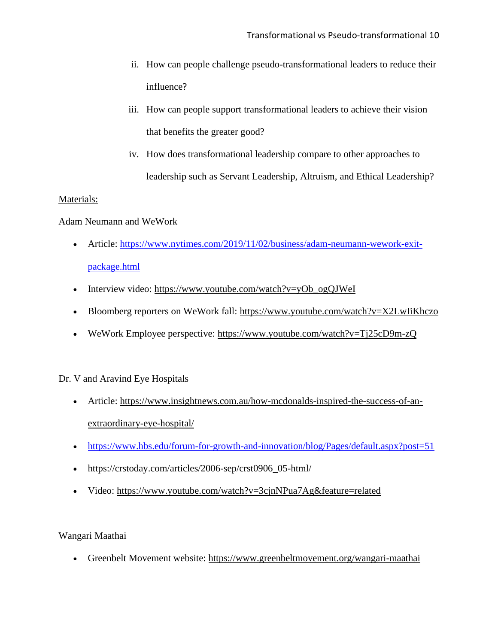- ii. How can people challenge pseudo-transformational leaders to reduce their influence?
- iii. How can people support transformational leaders to achieve their vision that benefits the greater good?
- iv. How does transformational leadership compare to other approaches to leadership such as Servant Leadership, Altruism, and Ethical Leadership?

### Materials:

Adam Neumann and WeWork

- Article: [https://www.nytimes.com/2019/11/02/business/adam-neumann-wework-exit](about:blank)[package.html](about:blank)
- Interview video: [https://www.youtube.com/watch?v=yOb\\_ogQJWeI](about:blank)
- Bloomberg reporters on WeWork fall: [https://www.youtube.com/watch?v=X2LwIiKhczo](about:blank)
- WeWork Employee perspective: [https://www.youtube.com/watch?v=Tj25cD9m-zQ](about:blank)

## Dr. V and Aravind Eye Hospitals

- Article: [https://www.insightnews.com.au/how-mcdonalds-inspired-the-success-of-an](about:blank)[extraordinary-eye-hospital/](about:blank)
- [https://www.hbs.edu/forum-for-growth-and-innovation/blog/Pages/default.aspx?post=51](about:blank)
- https://crstoday.com/articles/2006-sep/crst0906\_05-html/
- Video: [https://www.youtube.com/watch?v=3cjnNPua7Ag&feature=related](about:blank)

Wangari Maathai

• Greenbelt Movement website: [https://www.greenbeltmovement.org/wangari-maathai](about:blank)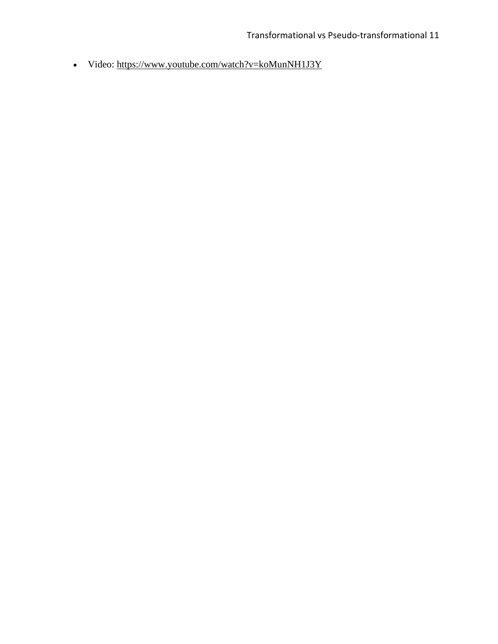• Video: [https://www.youtube.com/watch?v=koMunNH1J3Y](about:blank)